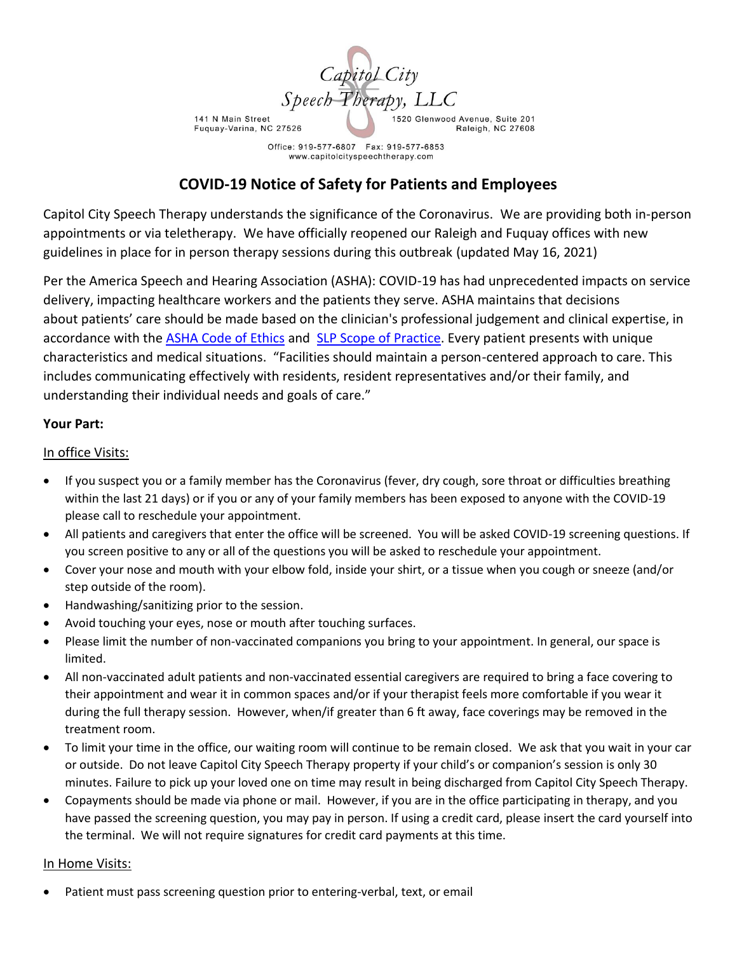

Office: 919-577-6807 Fax: 919-577-6853 www.capitolcityspeechtherapy.com

# **COVID-19 Notice of Safety for Patients and Employees**

Capitol City Speech Therapy understands the significance of the Coronavirus. We are providing both in-person appointments or via teletherapy. We have officially reopened our Raleigh and Fuquay offices with new guidelines in place for in person therapy sessions during this outbreak (updated May 16, 2021)

Per the America Speech and Hearing Association (ASHA): COVID-19 has had unprecedented impacts on service delivery, impacting healthcare workers and the patients they serve. ASHA maintains that decisions about patients' care should be made based on the clinician's professional judgement and clinical expertise, in accordance with the ASHA [Code of Ethics](https://www.asha.org/Code-of-Ethics/) and SLP [Scope of Practice.](https://www.asha.org/policy/SP2016-00343/) Every patient presents with unique characteristics and medical situations. "Facilities should maintain a person-centered approach to care. This includes communicating effectively with residents, resident representatives and/or their family, and understanding their individual needs and goals of care."

### **Your Part:**

### In office Visits:

- If you suspect you or a family member has the Coronavirus (fever, dry cough, sore throat or difficulties breathing within the last 21 days) or if you or any of your family members has been exposed to anyone with the COVID-19 please call to reschedule your appointment.
- All patients and caregivers that enter the office will be screened. You will be asked COVID-19 screening questions. If you screen positive to any or all of the questions you will be asked to reschedule your appointment.
- Cover your nose and mouth with your elbow fold, inside your shirt, or a tissue when you cough or sneeze (and/or step outside of the room).
- Handwashing/sanitizing prior to the session.
- Avoid touching your eyes, nose or mouth after touching surfaces.
- Please limit the number of non-vaccinated companions you bring to your appointment. In general, our space is limited.
- All non-vaccinated adult patients and non-vaccinated essential caregivers are required to bring a face covering to their appointment and wear it in common spaces and/or if your therapist feels more comfortable if you wear it during the full therapy session. However, when/if greater than 6 ft away, face coverings may be removed in the treatment room.
- To limit your time in the office, our waiting room will continue to be remain closed. We ask that you wait in your car or outside. Do not leave Capitol City Speech Therapy property if your child's or companion's session is only 30 minutes. Failure to pick up your loved one on time may result in being discharged from Capitol City Speech Therapy.
- Copayments should be made via phone or mail. However, if you are in the office participating in therapy, and you have passed the screening question, you may pay in person. If using a credit card, please insert the card yourself into the terminal. We will not require signatures for credit card payments at this time.

### In Home Visits:

Patient must pass screening question prior to entering-verbal, text, or email